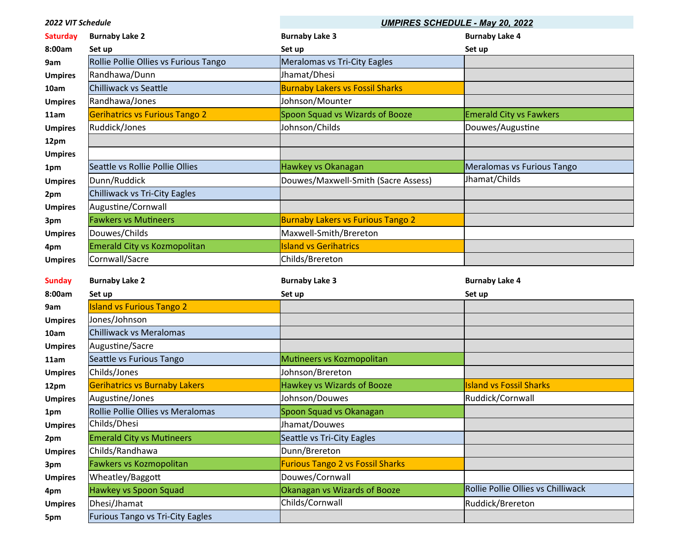| 2022 VIT Schedule       |                                       | <b>UMPIRES SCHEDULE - May 20, 2022</b>   |                                    |
|-------------------------|---------------------------------------|------------------------------------------|------------------------------------|
| <b>Saturday</b>         | <b>Burnaby Lake 2</b>                 | <b>Burnaby Lake 3</b>                    | <b>Burnaby Lake 4</b>              |
| 8:00am                  | Set up                                | Set up                                   | Set up                             |
| 9am                     | Rollie Pollie Ollies vs Furious Tango | Meralomas vs Tri-City Eagles             |                                    |
| <b>Umpires</b>          | Randhawa/Dunn                         | Jhamat/Dhesi                             |                                    |
| 10am                    | Chilliwack vs Seattle                 | <b>Burnaby Lakers vs Fossil Sharks</b>   |                                    |
| <b>Umpires</b>          | Randhawa/Jones                        | Johnson/Mounter                          |                                    |
| 11am                    | <b>Gerihatrics vs Furious Tango 2</b> | Spoon Squad vs Wizards of Booze          | <b>Emerald City vs Fawkers</b>     |
| <b>Umpires</b>          | Ruddick/Jones                         | Johnson/Childs                           | Douwes/Augustine                   |
| 12pm                    |                                       |                                          |                                    |
| <b>Umpires</b>          |                                       |                                          |                                    |
| 1pm                     | Seattle vs Rollie Pollie Ollies       | Hawkey vs Okanagan                       | Meralomas vs Furious Tango         |
| <b>Umpires</b>          | Dunn/Ruddick                          | Douwes/Maxwell-Smith (Sacre Assess)      | Jhamat/Childs                      |
| 2pm                     | Chilliwack vs Tri-City Eagles         |                                          |                                    |
| <b>Umpires</b>          | Augustine/Cornwall                    |                                          |                                    |
| 3pm                     | <b>Fawkers vs Mutineers</b>           | <b>Burnaby Lakers vs Furious Tango 2</b> |                                    |
| <b>Umpires</b>          | Douwes/Childs                         | Maxwell-Smith/Brereton                   |                                    |
| 4pm                     | <b>Emerald City vs Kozmopolitan</b>   | <b>Island vs Gerihatrics</b>             |                                    |
| <b>Umpires</b>          | Cornwall/Sacre                        | Childs/Brereton                          |                                    |
|                         |                                       |                                          |                                    |
|                         |                                       |                                          |                                    |
| <b>Sunday</b><br>8:00am | <b>Burnaby Lake 2</b><br>Set up       | <b>Burnaby Lake 3</b>                    | <b>Burnaby Lake 4</b>              |
| 9am                     | <b>Island vs Furious Tango 2</b>      | Set up                                   | Set up                             |
| <b>Umpires</b>          | Jones/Johnson                         |                                          |                                    |
| 10am                    | Chilliwack vs Meralomas               |                                          |                                    |
| <b>Umpires</b>          | Augustine/Sacre                       |                                          |                                    |
| 11am                    | Seattle vs Furious Tango              | Mutineers vs Kozmopolitan                |                                    |
| <b>Umpires</b>          | Childs/Jones                          | Johnson/Brereton                         |                                    |
| 12pm                    | <b>Gerihatrics vs Burnaby Lakers</b>  | Hawkey vs Wizards of Booze               | <b>Island vs Fossil Sharks</b>     |
| <b>Umpires</b>          | Augustine/Jones                       | Johnson/Douwes                           | Ruddick/Cornwall                   |
| 1pm                     | Rollie Pollie Ollies vs Meralomas     | Spoon Squad vs Okanagan                  |                                    |
| <b>Umpires</b>          | Childs/Dhesi                          | Jhamat/Douwes                            |                                    |
| 2pm                     | <b>Emerald City vs Mutineers</b>      | Seattle vs Tri-City Eagles               |                                    |
| <b>Umpires</b>          | Childs/Randhawa                       | Dunn/Brereton                            |                                    |
| 3pm                     | Fawkers vs Kozmopolitan               | <b>Furious Tango 2 vs Fossil Sharks</b>  |                                    |
| <b>Umpires</b>          | Wheatley/Baggott                      | Douwes/Cornwall                          |                                    |
| 4pm                     | Hawkey vs Spoon Squad                 | Okanagan vs Wizards of Booze             | Rollie Pollie Ollies vs Chilliwack |
| <b>Umpires</b>          | Dhesi/Jhamat                          | Childs/Cornwall                          | Ruddick/Brereton                   |